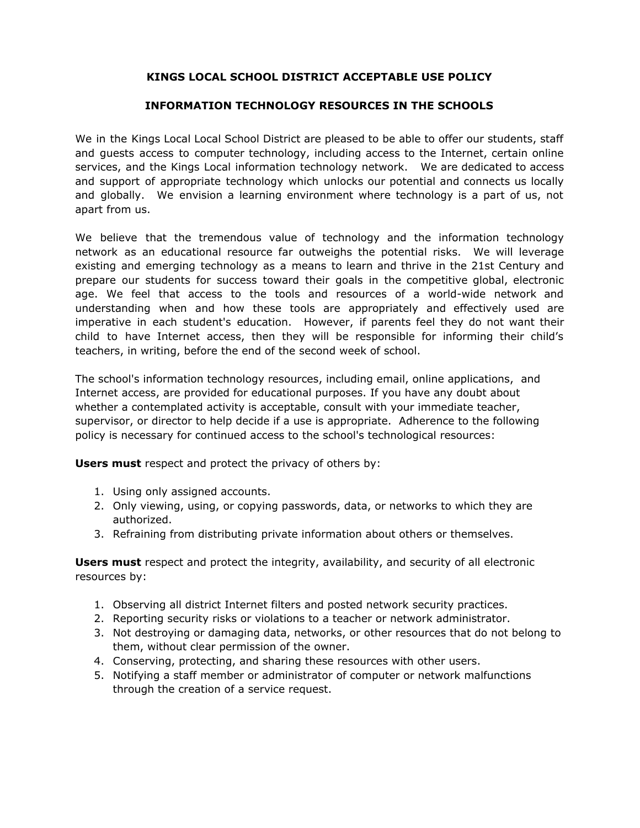# **KINGS LOCAL SCHOOL DISTRICT ACCEPTABLE USE POLICY**

# **INFORMATION TECHNOLOGY RESOURCES IN THE SCHOOLS**

We in the Kings Local Local School District are pleased to be able to offer our students, staff and guests access to computer technology, including access to the Internet, certain online services, and the Kings Local information technology network. We are dedicated to access and support of appropriate technology which unlocks our potential and connects us locally and globally. We envision a learning environment where technology is a part of us, not apart from us.

We believe that the tremendous value of technology and the information technology network as an educational resource far outweighs the potential risks. We will leverage existing and emerging technology as a means to learn and thrive in the 21st Century and prepare our students for success toward their goals in the competitive global, electronic age. We feel that access to the tools and resources of a world-wide network and understanding when and how these tools are appropriately and effectively used are imperative in each student's education. However, if parents feel they do not want their child to have Internet access, then they will be responsible for informing their child's teachers, in writing, before the end of the second week of school.

The school's information technology resources, including email, online applications, and Internet access, are provided for educational purposes. If you have any doubt about whether a contemplated activity is acceptable, consult with your immediate teacher, supervisor, or director to help decide if a use is appropriate. Adherence to the following policy is necessary for continued access to the school's technological resources:

**Users must** respect and protect the privacy of others by:

- 1. Using only assigned accounts.
- 2. Only viewing, using, or copying passwords, data, or networks to which they are authorized.
- 3. Refraining from distributing private information about others or themselves.

**Users must** respect and protect the integrity, availability, and security of all electronic resources by:

- 1. Observing all district Internet filters and posted network security practices.
- 2. Reporting security risks or violations to a teacher or network administrator.
- 3. Not destroying or damaging data, networks, or other resources that do not belong to them, without clear permission of the owner.
- 4. Conserving, protecting, and sharing these resources with other users.
- 5. Notifying a staff member or administrator of computer or network malfunctions through the creation of a service request.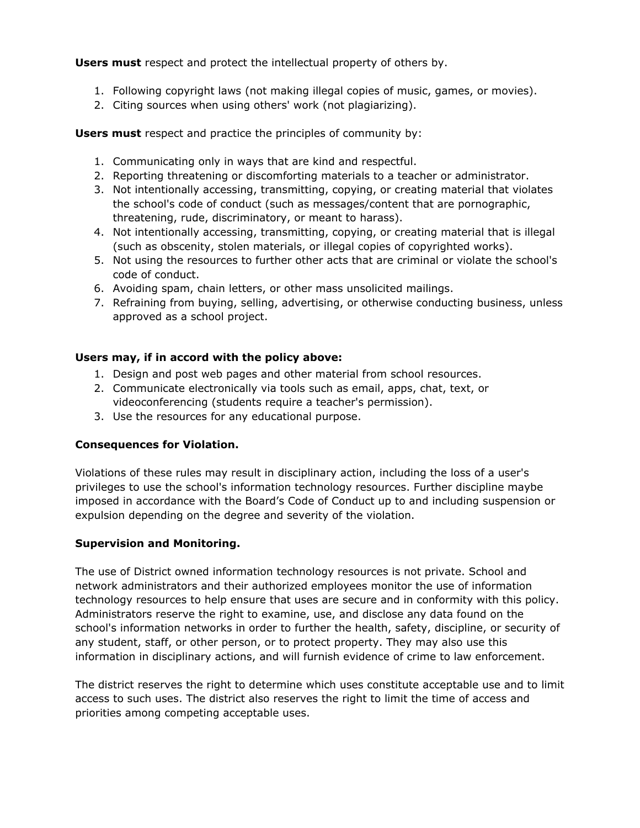**Users must** respect and protect the intellectual property of others by.

- 1. Following copyright laws (not making illegal copies of music, games, or movies).
- 2. Citing sources when using others' work (not plagiarizing).

**Users must** respect and practice the principles of community by:

- 1. Communicating only in ways that are kind and respectful.
- 2. Reporting threatening or discomforting materials to a teacher or administrator.
- 3. Not intentionally accessing, transmitting, copying, or creating material that violates the school's code of conduct (such as messages/content that are pornographic, threatening, rude, discriminatory, or meant to harass).
- 4. Not intentionally accessing, transmitting, copying, or creating material that is illegal (such as obscenity, stolen materials, or illegal copies of copyrighted works).
- 5. Not using the resources to further other acts that are criminal or violate the school's code of conduct.
- 6. Avoiding spam, chain letters, or other mass unsolicited mailings.
- 7. Refraining from buying, selling, advertising, or otherwise conducting business, unless approved as a school project.

## **Users may, if in accord with the policy above:**

- 1. Design and post web pages and other material from school resources.
- 2. Communicate electronically via tools such as email, apps, chat, text, or videoconferencing (students require a teacher's permission).
- 3. Use the resources for any educational purpose.

### **Consequences for Violation.**

Violations of these rules may result in disciplinary action, including the loss of a user's privileges to use the school's information technology resources. Further discipline maybe imposed in accordance with the Board's Code of Conduct up to and including suspension or expulsion depending on the degree and severity of the violation.

### **Supervision and Monitoring.**

The use of District owned information technology resources is not private. School and network administrators and their authorized employees monitor the use of information technology resources to help ensure that uses are secure and in conformity with this policy. Administrators reserve the right to examine, use, and disclose any data found on the school's information networks in order to further the health, safety, discipline, or security of any student, staff, or other person, or to protect property. They may also use this information in disciplinary actions, and will furnish evidence of crime to law enforcement.

The district reserves the right to determine which uses constitute acceptable use and to limit access to such uses. The district also reserves the right to limit the time of access and priorities among competing acceptable uses.